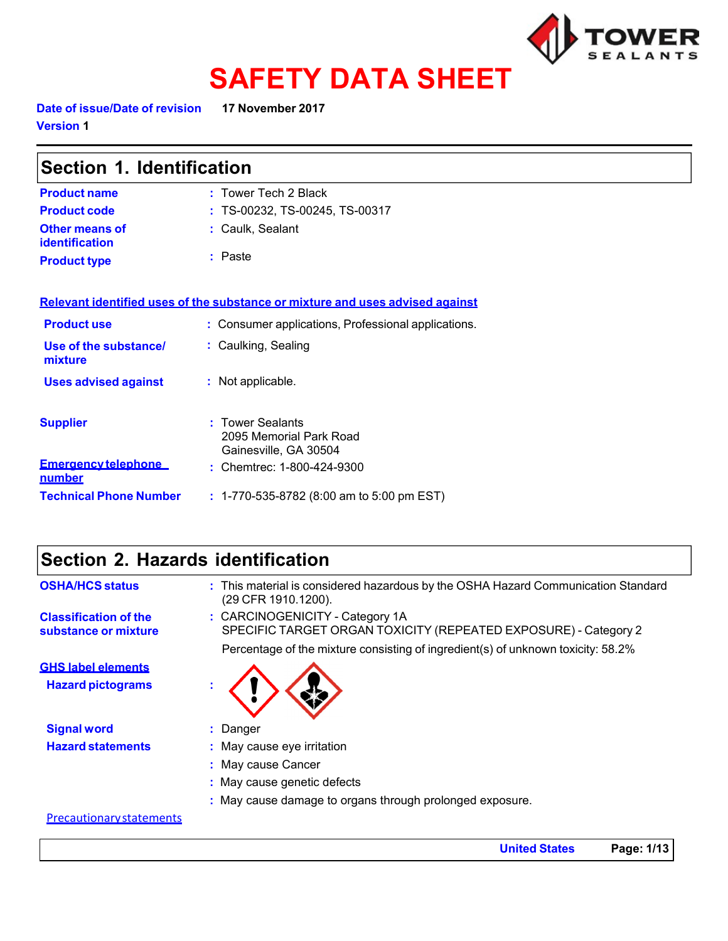

# **SAFETY DATA SHEET**

**Date of issue/Date of revision 17 November 2017 Version 1**

| Section 1. Identification                   |                                                                               |  |
|---------------------------------------------|-------------------------------------------------------------------------------|--|
| <b>Product name</b>                         | : Tower Tech 2 Black                                                          |  |
| <b>Product code</b>                         | : TS-00232, TS-00245, TS-00317                                                |  |
| <b>Other means of</b><br>identification     | : Caulk, Sealant                                                              |  |
| <b>Product type</b>                         | $:$ Paste                                                                     |  |
|                                             | Relevant identified uses of the substance or mixture and uses advised against |  |
| <b>Product use</b>                          | : Consumer applications, Professional applications.                           |  |
| Use of the substance/<br>mixture            | : Caulking, Sealing                                                           |  |
| <b>Uses advised against</b>                 | : Not applicable.                                                             |  |
| <b>Supplier</b>                             | : Tower Sealants<br>2095 Memorial Park Road<br>Gainesville, GA 30504          |  |
| <b>Emergency telephone</b><br><u>number</u> | : Chemtrec: 1-800-424-9300                                                    |  |
| <b>Technical Phone Number</b>               | : 1-770-535-8782 (8:00 am to 5:00 pm EST)                                     |  |

## **Section 2. Hazards identification**

| <b>OSHA/HCS status</b>                                | : This material is considered hazardous by the OSHA Hazard Communication Standard<br>(29 CFR 1910.1200).                                                                               |
|-------------------------------------------------------|----------------------------------------------------------------------------------------------------------------------------------------------------------------------------------------|
| <b>Classification of the</b><br>substance or mixture  | : CARCINOGENICITY - Category 1A<br>SPECIFIC TARGET ORGAN TOXICITY (REPEATED EXPOSURE) - Category 2<br>Percentage of the mixture consisting of ingredient(s) of unknown toxicity: 58.2% |
| <b>GHS label elements</b><br><b>Hazard pictograms</b> |                                                                                                                                                                                        |
| <b>Signal word</b>                                    | Danger                                                                                                                                                                                 |
| <b>Hazard statements</b>                              | May cause eye irritation                                                                                                                                                               |
|                                                       | : May cause Cancer                                                                                                                                                                     |
|                                                       | : May cause genetic defects                                                                                                                                                            |
|                                                       | : May cause damage to organs through prolonged exposure.                                                                                                                               |

#### Precautionary statements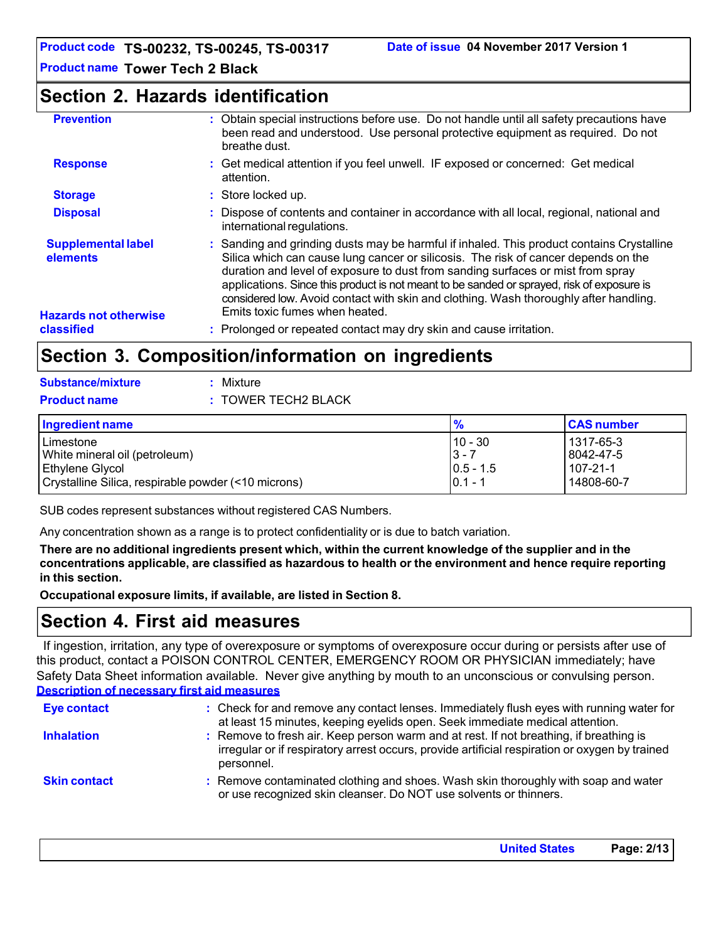### **Section 2. Hazards identification**

| <b>Prevention</b>                          | : Obtain special instructions before use. Do not handle until all safety precautions have<br>been read and understood. Use personal protective equipment as required. Do not<br>breathe dust.                                                                                                                                                                                                                                                                                               |
|--------------------------------------------|---------------------------------------------------------------------------------------------------------------------------------------------------------------------------------------------------------------------------------------------------------------------------------------------------------------------------------------------------------------------------------------------------------------------------------------------------------------------------------------------|
| <b>Response</b>                            | : Get medical attention if you feel unwell. IF exposed or concerned: Get medical<br>attention.                                                                                                                                                                                                                                                                                                                                                                                              |
| <b>Storage</b>                             | : Store locked up.                                                                                                                                                                                                                                                                                                                                                                                                                                                                          |
| <b>Disposal</b>                            | : Dispose of contents and container in accordance with all local, regional, national and<br>international regulations.                                                                                                                                                                                                                                                                                                                                                                      |
| <b>Supplemental label</b><br>elements      | : Sanding and grinding dusts may be harmful if inhaled. This product contains Crystalline<br>Silica which can cause lung cancer or silicosis. The risk of cancer depends on the<br>duration and level of exposure to dust from sanding surfaces or mist from spray<br>applications. Since this product is not meant to be sanded or sprayed, risk of exposure is<br>considered low. Avoid contact with skin and clothing. Wash thoroughly after handling.<br>Emits toxic fumes when heated. |
| <b>Hazards not otherwise</b><br>classified | : Prolonged or repeated contact may dry skin and cause irritation.                                                                                                                                                                                                                                                                                                                                                                                                                          |

## **Section 3. Composition/information on ingredients**

| <b>Substance/mixture</b> | : Mixture           |
|--------------------------|---------------------|
| <b>Product name</b>      | : TOWER TECH2 BLACK |

| Ingredient name                                                      | $\frac{9}{6}$                         | <b>CAS number</b>                    |
|----------------------------------------------------------------------|---------------------------------------|--------------------------------------|
| Limestone<br>White mineral oil (petroleum)<br><b>Ethylene Glycol</b> | $10 - 30$<br>$3 - 7$<br>$ 0.5 - 1.5 $ | l 1317-65-3<br>8042-47-5<br>107-21-1 |
| Crystalline Silica, respirable powder (<10 microns)                  | $0.1 - 1$                             | 14808-60-7                           |

SUB codes represent substances without registered CAS Numbers.

Any concentration shown as a range is to protect confidentiality or is due to batch variation.

**There are no additional ingredients present which, within the current knowledge of the supplier and in the concentrations applicable, are classified as hazardous to health or the environment and hence require reporting in this section.**

**Occupational exposure limits, if available, are listed in Section 8.**

## **Section 4. First aid measures**

If ingestion, irritation, any type of overexposure or symptoms of overexposure occur during or persists after use of this product, contact a POISON CONTROL CENTER, EMERGENCY ROOM OR PHYSICIAN immediately; have Safety Data Sheet information available. Never give anything by mouth to an unconscious or convulsing person. **Description of necessary first aid measures**

| <b>Eye contact</b>  | : Check for and remove any contact lenses. Immediately flush eyes with running water for<br>at least 15 minutes, keeping eyelids open. Seek immediate medical attention.                               |
|---------------------|--------------------------------------------------------------------------------------------------------------------------------------------------------------------------------------------------------|
| <b>Inhalation</b>   | : Remove to fresh air. Keep person warm and at rest. If not breathing, if breathing is<br>irregular or if respiratory arrest occurs, provide artificial respiration or oxygen by trained<br>personnel. |
| <b>Skin contact</b> | : Remove contaminated clothing and shoes. Wash skin thoroughly with soap and water<br>or use recognized skin cleanser. Do NOT use solvents or thinners.                                                |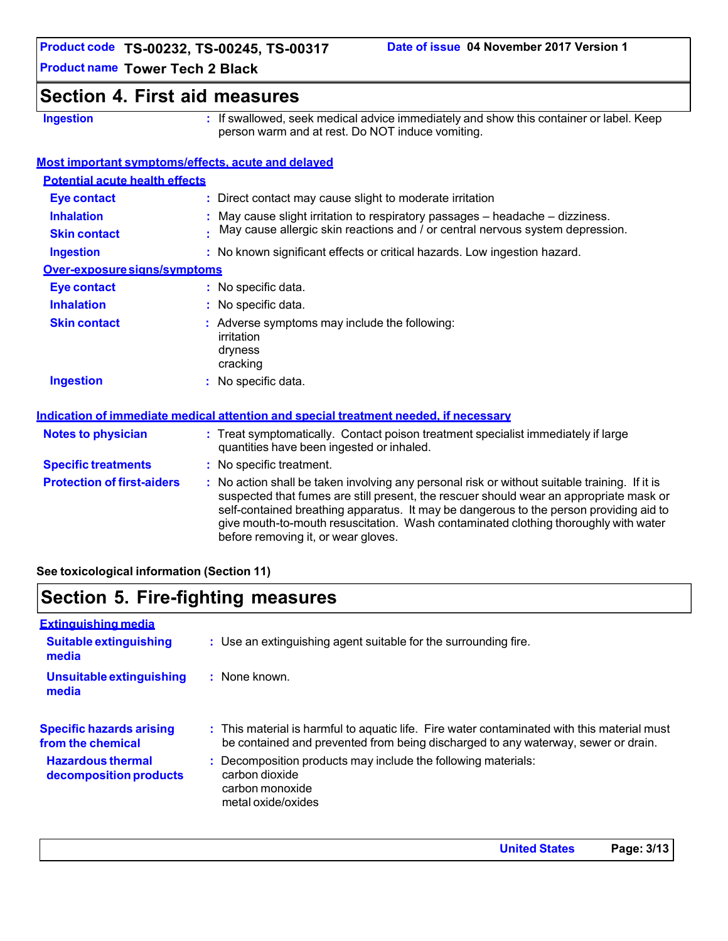## **Section 4. First aid measures**

**Ingestion :** If swallowed, seek medical advice immediately and show this container or label. Keep person warm and at rest. Do NOT induce vomiting.

#### **Most important symptoms/effects, acute and delayed**

| <b>Potential acute health effects</b>    |                                                                                                                                                                                                                                                                                                                                                                                                                 |
|------------------------------------------|-----------------------------------------------------------------------------------------------------------------------------------------------------------------------------------------------------------------------------------------------------------------------------------------------------------------------------------------------------------------------------------------------------------------|
| <b>Eye contact</b>                       | : Direct contact may cause slight to moderate irritation                                                                                                                                                                                                                                                                                                                                                        |
| <b>Inhalation</b><br><b>Skin contact</b> | $:$ May cause slight irritation to respiratory passages $-$ headache $-$ dizziness.<br>May cause allergic skin reactions and / or central nervous system depression.                                                                                                                                                                                                                                            |
| <b>Ingestion</b>                         | : No known significant effects or critical hazards. Low ingestion hazard.                                                                                                                                                                                                                                                                                                                                       |
| Over-exposure signs/symptoms             |                                                                                                                                                                                                                                                                                                                                                                                                                 |
| <b>Eye contact</b>                       | : No specific data.                                                                                                                                                                                                                                                                                                                                                                                             |
| <b>Inhalation</b>                        | : No specific data.                                                                                                                                                                                                                                                                                                                                                                                             |
| <b>Skin contact</b>                      | : Adverse symptoms may include the following:<br>irritation<br>dryness<br>cracking                                                                                                                                                                                                                                                                                                                              |
| <b>Ingestion</b>                         | : No specific data.                                                                                                                                                                                                                                                                                                                                                                                             |
|                                          | Indication of immediate medical attention and special treatment needed, if necessary                                                                                                                                                                                                                                                                                                                            |
| <b>Notes to physician</b>                | : Treat symptomatically. Contact poison treatment specialist immediately if large<br>quantities have been ingested or inhaled.                                                                                                                                                                                                                                                                                  |
| <b>Specific treatments</b>               | : No specific treatment.                                                                                                                                                                                                                                                                                                                                                                                        |
| <b>Protection of first-aiders</b>        | : No action shall be taken involving any personal risk or without suitable training. If it is<br>suspected that fumes are still present, the rescuer should wear an appropriate mask or<br>self-contained breathing apparatus. It may be dangerous to the person providing aid to<br>give mouth-to-mouth resuscitation. Wash contaminated clothing thoroughly with water<br>before removing it, or wear gloves. |

**See toxicological information (Section 11)**

# **Section 5. Fire-fighting measures**

| <b>Extinguishing media</b>                           |                                                                                                                                                                                  |
|------------------------------------------------------|----------------------------------------------------------------------------------------------------------------------------------------------------------------------------------|
| <b>Suitable extinguishing</b><br>media               | : Use an extinguishing agent suitable for the surrounding fire.                                                                                                                  |
| <b>Unsuitable extinguishing</b><br>media             | : None known.                                                                                                                                                                    |
| <b>Specific hazards arising</b><br>from the chemical | : This material is harmful to aquatic life. Fire water contaminated with this material must<br>be contained and prevented from being discharged to any waterway, sewer or drain. |
| <b>Hazardous thermal</b><br>decomposition products   | : Decomposition products may include the following materials:<br>carbon dioxide<br>carbon monoxide<br>metal oxide/oxides                                                         |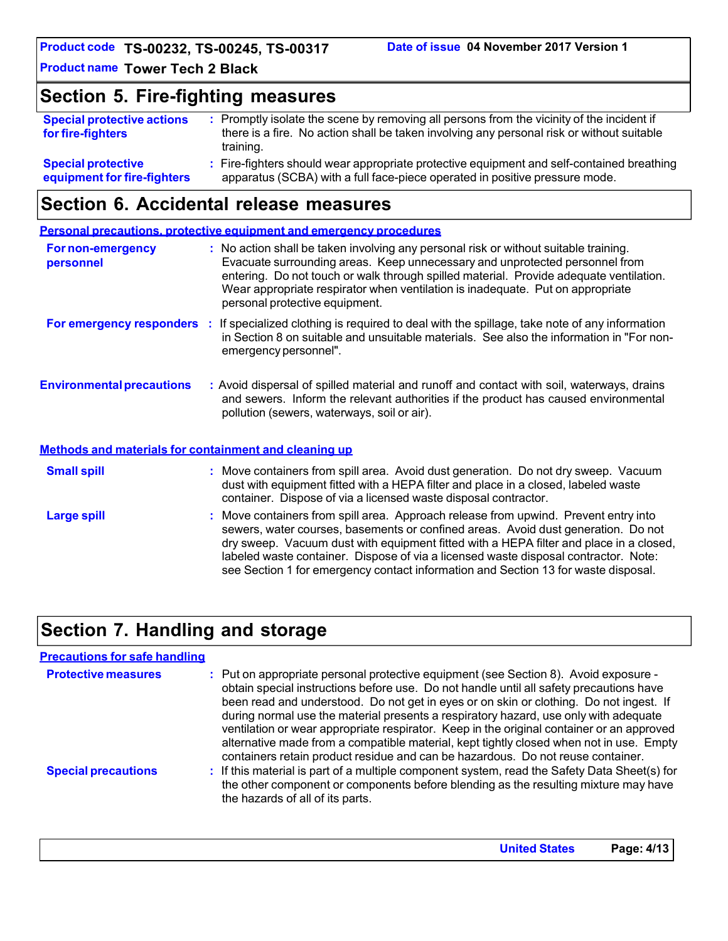**Product code TS-00232, TS-00245, TS-00317**

**Product name Tower Tech 2 Black** 

## **Section 5. Fire-fighting measures**

| <b>Special protective actions</b><br>for fire-fighters | : Promptly isolate the scene by removing all persons from the vicinity of the incident if<br>there is a fire. No action shall be taken involving any personal risk or without suitable<br>training. |
|--------------------------------------------------------|-----------------------------------------------------------------------------------------------------------------------------------------------------------------------------------------------------|
| <b>Special protective</b>                              | : Fire-fighters should wear appropriate protective equipment and self-contained breathing                                                                                                           |
| equipment for fire-fighters                            | apparatus (SCBA) with a full face-piece operated in positive pressure mode.                                                                                                                         |

## **Section 6. Accidental release measures**

**Personal precautions, protective equipment and emergency procedures**

| For non-emergency<br>personnel                        | : No action shall be taken involving any personal risk or without suitable training.<br>Evacuate surrounding areas. Keep unnecessary and unprotected personnel from<br>entering. Do not touch or walk through spilled material. Provide adequate ventilation.<br>Wear appropriate respirator when ventilation is inadequate. Put on appropriate<br>personal protective equipment. |
|-------------------------------------------------------|-----------------------------------------------------------------------------------------------------------------------------------------------------------------------------------------------------------------------------------------------------------------------------------------------------------------------------------------------------------------------------------|
|                                                       | For emergency responders : If specialized clothing is required to deal with the spillage, take note of any information<br>in Section 8 on suitable and unsuitable materials. See also the information in "For non-<br>emergency personnel".                                                                                                                                       |
| <b>Environmental precautions</b>                      | : Avoid dispersal of spilled material and runoff and contact with soil, waterways, drains<br>and sewers. Inform the relevant authorities if the product has caused environmental<br>pollution (sewers, waterways, soil or air).                                                                                                                                                   |
| Methods and materials for containment and cleaning up |                                                                                                                                                                                                                                                                                                                                                                                   |
| <b>Small spill</b>                                    | : Move containers from spill area. Avoid dust generation. Do not dry sweep. Vacuum<br>dust with equipment fitted with a HEPA filter and place in a closed, labeled waste<br>container. Dispose of via a licensed waste disposal contractor.                                                                                                                                       |
| <b>Large spill</b>                                    | : Move containers from spill area. Approach release from upwind. Prevent entry into<br>sewers, water courses, basements or confined areas. Avoid dust generation. Do not<br>dry sweep. Vacuum dust with equipment fitted with a HEPA filter and place in a closed,<br>labeled waste container. Dispose of via a licensed waste disposal contractor. Note:                         |

# **Section 7. Handling and storage**

| <b>Precautions for safe handling</b> |                                                                                                                                                                                                                                                                                                                                                                                                                                                                                                                                                                                                                                              |
|--------------------------------------|----------------------------------------------------------------------------------------------------------------------------------------------------------------------------------------------------------------------------------------------------------------------------------------------------------------------------------------------------------------------------------------------------------------------------------------------------------------------------------------------------------------------------------------------------------------------------------------------------------------------------------------------|
| <b>Protective measures</b>           | : Put on appropriate personal protective equipment (see Section 8). Avoid exposure -<br>obtain special instructions before use. Do not handle until all safety precautions have<br>been read and understood. Do not get in eyes or on skin or clothing. Do not ingest. If<br>during normal use the material presents a respiratory hazard, use only with adequate<br>ventilation or wear appropriate respirator. Keep in the original container or an approved<br>alternative made from a compatible material, kept tightly closed when not in use. Empty<br>containers retain product residue and can be hazardous. Do not reuse container. |
| <b>Special precautions</b>           | : If this material is part of a multiple component system, read the Safety Data Sheet(s) for<br>the other component or components before blending as the resulting mixture may have<br>the hazards of all of its parts.                                                                                                                                                                                                                                                                                                                                                                                                                      |

see Section 1 for emergency contact information and Section 13 for waste disposal.

**United States Page: 4/13**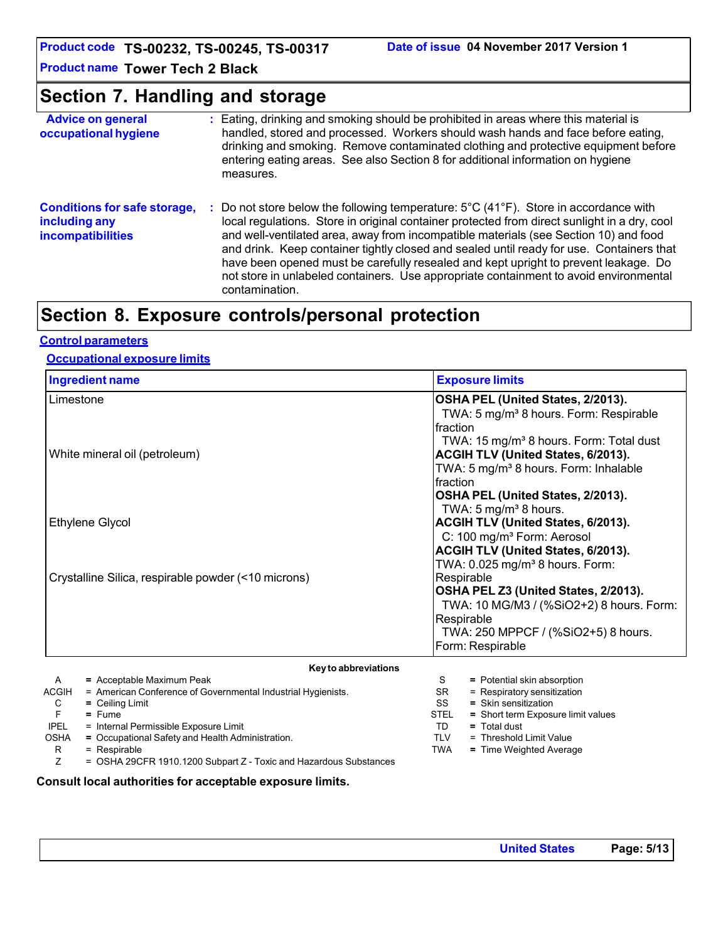**Product code TS-00232, TS-00245, TS-00317**

**Product name Tower Tech 2 Black** 

# **Section 7. Handling and storage**

| <b>Advice on general</b><br>occupational hygiene                                 |    | : Eating, drinking and smoking should be prohibited in areas where this material is<br>handled, stored and processed. Workers should wash hands and face before eating,<br>drinking and smoking. Remove contaminated clothing and protective equipment before<br>entering eating areas. See also Section 8 for additional information on hygiene<br>measures.                                                                                                                                                                                                            |
|----------------------------------------------------------------------------------|----|--------------------------------------------------------------------------------------------------------------------------------------------------------------------------------------------------------------------------------------------------------------------------------------------------------------------------------------------------------------------------------------------------------------------------------------------------------------------------------------------------------------------------------------------------------------------------|
| <b>Conditions for safe storage,</b><br>including any<br><b>incompatibilities</b> | ÷. | Do not store below the following temperature: 5°C (41°F). Store in accordance with<br>local regulations. Store in original container protected from direct sunlight in a dry, cool<br>and well-ventilated area, away from incompatible materials (see Section 10) and food<br>and drink. Keep container tightly closed and sealed until ready for use. Containers that<br>have been opened must be carefully resealed and kept upright to prevent leakage. Do<br>not store in unlabeled containers. Use appropriate containment to avoid environmental<br>contamination. |

# **Section 8. Exposure controls/personal protection**

#### **Control parameters**

#### **Occupational exposure limits**

| <b>Ingredient name</b>                              | <b>Exposure limits</b>                              |
|-----------------------------------------------------|-----------------------------------------------------|
| Limestone                                           | OSHA PEL (United States, 2/2013).                   |
|                                                     | TWA: 5 mg/m <sup>3</sup> 8 hours. Form: Respirable  |
|                                                     | fraction                                            |
|                                                     | TWA: 15 mg/m <sup>3</sup> 8 hours. Form: Total dust |
| White mineral oil (petroleum)                       | ACGIH TLV (United States, 6/2013).                  |
|                                                     | TWA: 5 mg/m <sup>3</sup> 8 hours. Form: Inhalable   |
|                                                     | Ifraction                                           |
|                                                     | OSHA PEL (United States, 2/2013).                   |
|                                                     | TWA: 5 mg/m <sup>3</sup> 8 hours.                   |
| Ethylene Glycol                                     | ACGIH TLV (United States, 6/2013).                  |
|                                                     | C: 100 mg/m <sup>3</sup> Form: Aerosol              |
|                                                     | ACGIH TLV (United States, 6/2013).                  |
|                                                     | TWA: 0.025 mg/m <sup>3</sup> 8 hours. Form:         |
| Crystalline Silica, respirable powder (<10 microns) | Respirable                                          |
|                                                     | OSHA PEL Z3 (United States, 2/2013).                |
|                                                     | TWA: 10 MG/M3 / (%SiO2+2) 8 hours. Form:            |
|                                                     | Respirable                                          |
|                                                     | TWA: 250 MPPCF / (%SiO2+5) 8 hours.                 |
|                                                     | Form: Respirable                                    |
| Married a laborard atta                             |                                                     |

|              | Key to abbreviations                                              |             |                                    |
|--------------|-------------------------------------------------------------------|-------------|------------------------------------|
| A            | $=$ Acceptable Maximum Peak                                       | S           | = Potential skin absorption        |
| <b>ACGIH</b> | = American Conference of Governmental Industrial Hygienists.      | SR          | $=$ Respiratory sensitization      |
| C            | $=$ Ceiling Limit                                                 | SS          | $=$ Skin sensitization             |
|              | $=$ Fume                                                          | <b>STEL</b> | = Short term Exposure limit values |
| <b>IPEL</b>  | = Internal Permissible Exposure Limit                             | TD          | $=$ Total dust                     |
| <b>OSHA</b>  | = Occupational Safety and Health Administration.                  | TLV         | = Threshold Limit Value            |
| R            | $=$ Respirable                                                    | <b>TWA</b>  | $=$ Time Weighted Average          |
|              | = OSHA 29CFR 1910.1200 Subpart Z - Toxic and Hazardous Substances |             |                                    |

#### **Consult local authorities for acceptable exposure limits.**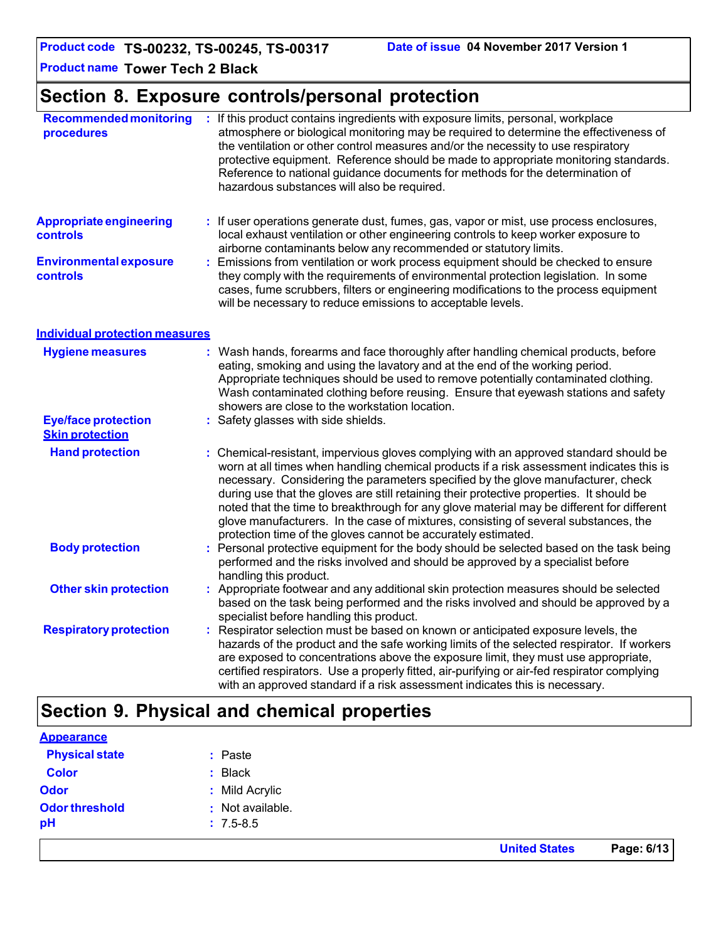# **Section 8. Exposure controls/personal protection**

| <b>Recommended monitoring</b><br>procedures          | : If this product contains ingredients with exposure limits, personal, workplace<br>atmosphere or biological monitoring may be required to determine the effectiveness of<br>the ventilation or other control measures and/or the necessity to use respiratory<br>protective equipment. Reference should be made to appropriate monitoring standards.<br>Reference to national guidance documents for methods for the determination of<br>hazardous substances will also be required.                                                                                                                                  |
|------------------------------------------------------|------------------------------------------------------------------------------------------------------------------------------------------------------------------------------------------------------------------------------------------------------------------------------------------------------------------------------------------------------------------------------------------------------------------------------------------------------------------------------------------------------------------------------------------------------------------------------------------------------------------------|
| <b>Appropriate engineering</b><br><b>controls</b>    | : If user operations generate dust, fumes, gas, vapor or mist, use process enclosures,<br>local exhaust ventilation or other engineering controls to keep worker exposure to<br>airborne contaminants below any recommended or statutory limits.                                                                                                                                                                                                                                                                                                                                                                       |
| <b>Environmental exposure</b><br>controls            | Emissions from ventilation or work process equipment should be checked to ensure<br>÷.<br>they comply with the requirements of environmental protection legislation. In some<br>cases, fume scrubbers, filters or engineering modifications to the process equipment<br>will be necessary to reduce emissions to acceptable levels.                                                                                                                                                                                                                                                                                    |
| <b>Individual protection measures</b>                |                                                                                                                                                                                                                                                                                                                                                                                                                                                                                                                                                                                                                        |
| <b>Hygiene measures</b>                              | : Wash hands, forearms and face thoroughly after handling chemical products, before<br>eating, smoking and using the lavatory and at the end of the working period.<br>Appropriate techniques should be used to remove potentially contaminated clothing.<br>Wash contaminated clothing before reusing. Ensure that eyewash stations and safety<br>showers are close to the workstation location.                                                                                                                                                                                                                      |
| <b>Eye/face protection</b><br><b>Skin protection</b> | : Safety glasses with side shields.                                                                                                                                                                                                                                                                                                                                                                                                                                                                                                                                                                                    |
| <b>Hand protection</b>                               | : Chemical-resistant, impervious gloves complying with an approved standard should be<br>worn at all times when handling chemical products if a risk assessment indicates this is<br>necessary. Considering the parameters specified by the glove manufacturer, check<br>during use that the gloves are still retaining their protective properties. It should be<br>noted that the time to breakthrough for any glove material may be different for different<br>glove manufacturers. In the case of mixtures, consisting of several substances, the<br>protection time of the gloves cannot be accurately estimated. |
| <b>Body protection</b>                               | : Personal protective equipment for the body should be selected based on the task being<br>performed and the risks involved and should be approved by a specialist before<br>handling this product.                                                                                                                                                                                                                                                                                                                                                                                                                    |
| <b>Other skin protection</b>                         | : Appropriate footwear and any additional skin protection measures should be selected<br>based on the task being performed and the risks involved and should be approved by a<br>specialist before handling this product.                                                                                                                                                                                                                                                                                                                                                                                              |
| <b>Respiratory protection</b>                        | Respirator selection must be based on known or anticipated exposure levels, the<br>÷.<br>hazards of the product and the safe working limits of the selected respirator. If workers<br>are exposed to concentrations above the exposure limit, they must use appropriate,<br>certified respirators. Use a properly fitted, air-purifying or air-fed respirator complying<br>with an approved standard if a risk assessment indicates this is necessary.                                                                                                                                                                 |

# **Section 9. Physical and chemical properties**

|                       |                  | <b>United States</b> | Page: 6/13 |
|-----------------------|------------------|----------------------|------------|
| pH                    | $: 7.5 - 8.5$    |                      |            |
| <b>Odor threshold</b> | : Not available. |                      |            |
| <b>Odor</b>           | : Mild Acrylic   |                      |            |
| <b>Color</b>          | : Black          |                      |            |
| <b>Physical state</b> | : Paste          |                      |            |
| <b>Appearance</b>     |                  |                      |            |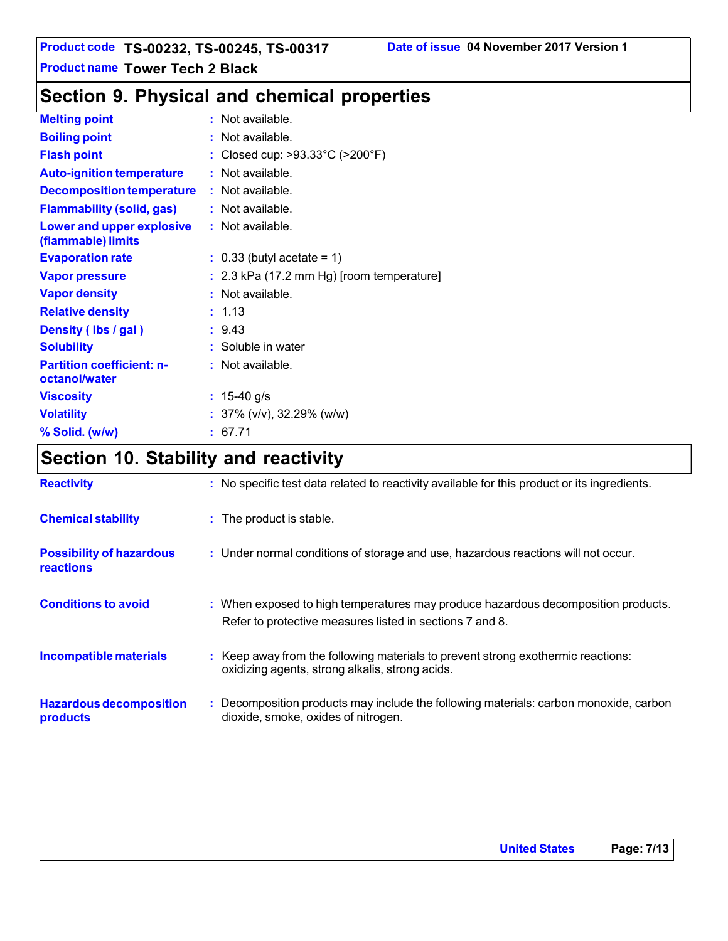# **Section 9. Physical and chemical properties**

| <b>Melting point</b>                              | : Not available.                                     |
|---------------------------------------------------|------------------------------------------------------|
| <b>Boiling point</b>                              | : Not available.                                     |
| <b>Flash point</b>                                | : Closed cup: $>93.33^{\circ}$ C ( $>200^{\circ}$ F) |
| <b>Auto-ignition temperature</b>                  | : Not available.                                     |
| <b>Decomposition temperature</b>                  | : Not available.                                     |
| <b>Flammability (solid, gas)</b>                  | : Not available.                                     |
| Lower and upper explosive<br>(flammable) limits   | : Not available.                                     |
| <b>Evaporation rate</b>                           | $\therefore$ 0.33 (butyl acetate = 1)                |
| <b>Vapor pressure</b>                             | $: 2.3$ kPa (17.2 mm Hg) [room temperature]          |
| <b>Vapor density</b>                              | : Not available.                                     |
| <b>Relative density</b>                           | : 1.13                                               |
| Density (Ibs / gal)                               | : 9.43                                               |
| <b>Solubility</b>                                 | : Soluble in water                                   |
| <b>Partition coefficient: n-</b><br>octanol/water | : Not available.                                     |
| <b>Viscosity</b>                                  | : $15-40$ g/s                                        |
| <b>Volatility</b>                                 | : $37\%$ (v/v), $32.29\%$ (w/w)                      |
| % Solid. (w/w)                                    | : 67.71                                              |

# **Section 10. Stability and reactivity**

| <b>Reactivity</b>                            | : No specific test data related to reactivity available for this product or its ingredients.                                                  |
|----------------------------------------------|-----------------------------------------------------------------------------------------------------------------------------------------------|
| <b>Chemical stability</b>                    | : The product is stable.                                                                                                                      |
| <b>Possibility of hazardous</b><br>reactions | : Under normal conditions of storage and use, hazardous reactions will not occur.                                                             |
| <b>Conditions to avoid</b>                   | : When exposed to high temperatures may produce hazardous decomposition products.<br>Refer to protective measures listed in sections 7 and 8. |
| Incompatible materials                       | : Keep away from the following materials to prevent strong exothermic reactions:<br>oxidizing agents, strong alkalis, strong acids.           |
| <b>Hazardous decomposition</b><br>products   | : Decomposition products may include the following materials: carbon monoxide, carbon<br>dioxide, smoke, oxides of nitrogen.                  |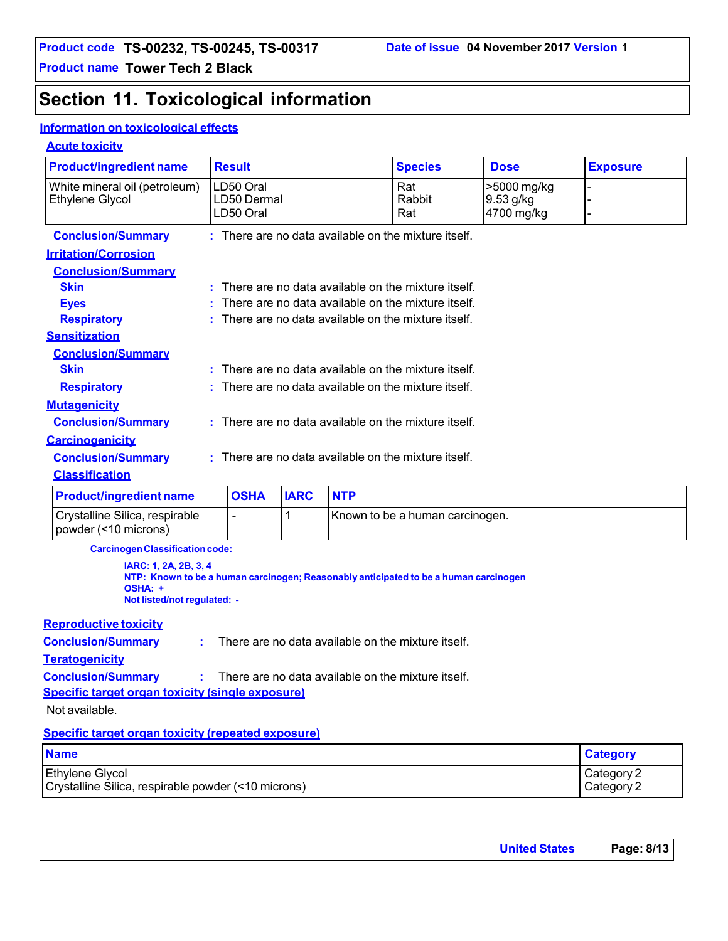# **Section 11. Toxicological information**

#### **Information on toxicological effects**

#### **Acute toxicity**

| <b>Product/ingredient name</b>                                                                                                                          |  | <b>Result</b> |             |            | <b>Species</b>                                       | <b>Dose</b> | <b>Exposure</b> |
|---------------------------------------------------------------------------------------------------------------------------------------------------------|--|---------------|-------------|------------|------------------------------------------------------|-------------|-----------------|
| White mineral oil (petroleum)                                                                                                                           |  | LD50 Oral     |             |            | Rat                                                  | >5000 mg/kg |                 |
| <b>Ethylene Glycol</b>                                                                                                                                  |  | LD50 Dermal   |             |            | Rabbit                                               | 9.53 g/kg   |                 |
|                                                                                                                                                         |  | LD50 Oral     |             |            | Rat                                                  | 4700 mg/kg  |                 |
| <b>Conclusion/Summary</b>                                                                                                                               |  |               |             |            | : There are no data available on the mixture itself. |             |                 |
| <b>Irritation/Corrosion</b>                                                                                                                             |  |               |             |            |                                                      |             |                 |
| <b>Conclusion/Summary</b>                                                                                                                               |  |               |             |            |                                                      |             |                 |
| <b>Skin</b>                                                                                                                                             |  |               |             |            | There are no data available on the mixture itself.   |             |                 |
| <b>Eyes</b>                                                                                                                                             |  |               |             |            | There are no data available on the mixture itself.   |             |                 |
| <b>Respiratory</b>                                                                                                                                      |  |               |             |            | There are no data available on the mixture itself.   |             |                 |
| <b>Sensitization</b>                                                                                                                                    |  |               |             |            |                                                      |             |                 |
| <b>Conclusion/Summary</b>                                                                                                                               |  |               |             |            |                                                      |             |                 |
| <b>Skin</b>                                                                                                                                             |  |               |             |            | There are no data available on the mixture itself.   |             |                 |
| <b>Respiratory</b>                                                                                                                                      |  |               |             |            | There are no data available on the mixture itself.   |             |                 |
| <b>Mutagenicity</b>                                                                                                                                     |  |               |             |            |                                                      |             |                 |
| <b>Conclusion/Summary</b>                                                                                                                               |  |               |             |            | There are no data available on the mixture itself.   |             |                 |
| <b>Carcinogenicity</b>                                                                                                                                  |  |               |             |            |                                                      |             |                 |
| <b>Conclusion/Summary</b>                                                                                                                               |  |               |             |            | : There are no data available on the mixture itself. |             |                 |
| <b>Classification</b>                                                                                                                                   |  |               |             |            |                                                      |             |                 |
| <b>Product/ingredient name</b>                                                                                                                          |  | <b>OSHA</b>   | <b>IARC</b> | <b>NTP</b> |                                                      |             |                 |
| Crystalline Silica, respirable<br>powder (<10 microns)                                                                                                  |  |               | 1           |            | Known to be a human carcinogen.                      |             |                 |
| <b>Carcinogen Classification code:</b>                                                                                                                  |  |               |             |            |                                                      |             |                 |
| IARC: 1, 2A, 2B, 3, 4<br>NTP: Known to be a human carcinogen; Reasonably anticipated to be a human carcinogen<br>OSHA: +<br>Not listed/not regulated: - |  |               |             |            |                                                      |             |                 |
| <b>Reproductive toxicity</b>                                                                                                                            |  |               |             |            |                                                      |             |                 |
| <b>Conclusion/Summary</b><br>There are no data available on the mixture itself.<br>÷                                                                    |  |               |             |            |                                                      |             |                 |
| <b>Teratogenicity</b>                                                                                                                                   |  |               |             |            |                                                      |             |                 |
| <b>Conclusion/Summary</b><br>There are no data available on the mixture itself.                                                                         |  |               |             |            |                                                      |             |                 |
| Specific target organ toxicity (single exposure)                                                                                                        |  |               |             |            |                                                      |             |                 |

Not available.

#### **Specific target organ toxicity (repeated exposure)**

| <b>Name</b>                                         | <b>Category</b> |
|-----------------------------------------------------|-----------------|
| <b>Ethylene Glycol</b>                              | Category 2      |
| Crystalline Silica, respirable powder (<10 microns) | Category 2      |

| <b>United States</b> | Page: 8/13 |
|----------------------|------------|
|                      |            |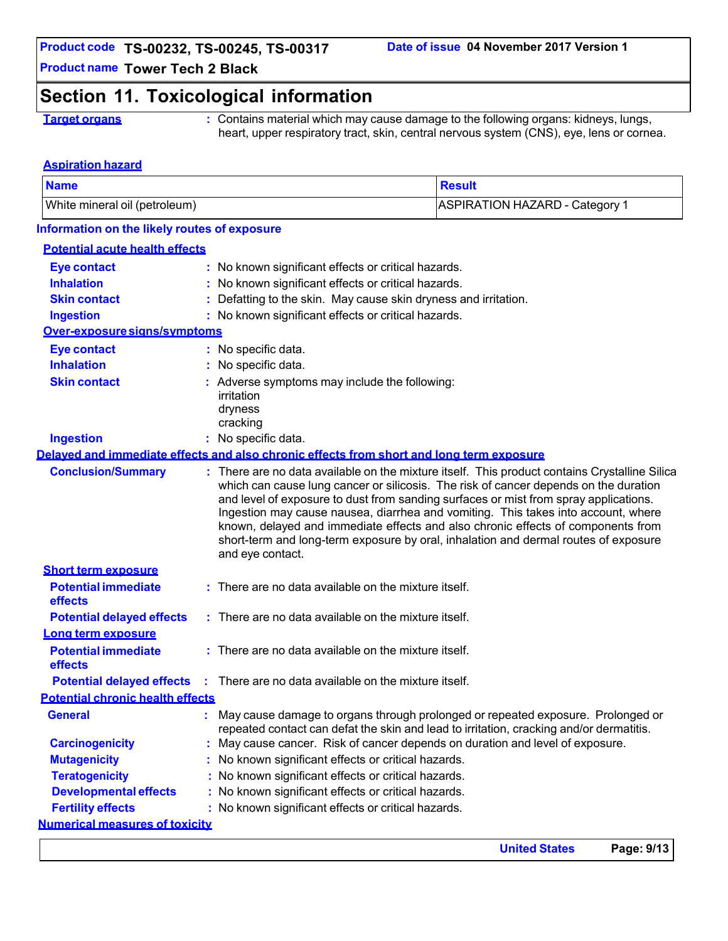## **Section 11. Toxicological information**

**Target organs** : Contains material which may cause damage to the following organs: kidneys, lungs, heart, upper respiratory tract, skin, central nervous system (CNS), eye, lens or cornea.

#### **Aspiration hazard**

| <b>Name</b>                                  |                                                                                                          | <b>Result</b>                                                                                                                                                                                                                                                                                                                                                                                                                                         |
|----------------------------------------------|----------------------------------------------------------------------------------------------------------|-------------------------------------------------------------------------------------------------------------------------------------------------------------------------------------------------------------------------------------------------------------------------------------------------------------------------------------------------------------------------------------------------------------------------------------------------------|
| White mineral oil (petroleum)                |                                                                                                          | <b>ASPIRATION HAZARD - Category 1</b>                                                                                                                                                                                                                                                                                                                                                                                                                 |
| Information on the likely routes of exposure |                                                                                                          |                                                                                                                                                                                                                                                                                                                                                                                                                                                       |
| <b>Potential acute health effects</b>        |                                                                                                          |                                                                                                                                                                                                                                                                                                                                                                                                                                                       |
| <b>Eye contact</b>                           | No known significant effects or critical hazards.                                                        |                                                                                                                                                                                                                                                                                                                                                                                                                                                       |
| <b>Inhalation</b>                            | No known significant effects or critical hazards.                                                        |                                                                                                                                                                                                                                                                                                                                                                                                                                                       |
| <b>Skin contact</b>                          | Defatting to the skin. May cause skin dryness and irritation.                                            |                                                                                                                                                                                                                                                                                                                                                                                                                                                       |
| <b>Ingestion</b>                             | : No known significant effects or critical hazards.                                                      |                                                                                                                                                                                                                                                                                                                                                                                                                                                       |
| Over-exposure signs/symptoms                 |                                                                                                          |                                                                                                                                                                                                                                                                                                                                                                                                                                                       |
| <b>Eye contact</b>                           | : No specific data.                                                                                      |                                                                                                                                                                                                                                                                                                                                                                                                                                                       |
| <b>Inhalation</b>                            | No specific data.                                                                                        |                                                                                                                                                                                                                                                                                                                                                                                                                                                       |
| <b>Skin contact</b>                          | Adverse symptoms may include the following:                                                              |                                                                                                                                                                                                                                                                                                                                                                                                                                                       |
|                                              | irritation                                                                                               |                                                                                                                                                                                                                                                                                                                                                                                                                                                       |
|                                              | dryness                                                                                                  |                                                                                                                                                                                                                                                                                                                                                                                                                                                       |
|                                              | cracking                                                                                                 |                                                                                                                                                                                                                                                                                                                                                                                                                                                       |
| <b>Ingestion</b>                             | No specific data.                                                                                        |                                                                                                                                                                                                                                                                                                                                                                                                                                                       |
|                                              | Delayed and immediate effects and also chronic effects from short and long term exposure                 |                                                                                                                                                                                                                                                                                                                                                                                                                                                       |
| <b>Conclusion/Summary</b>                    | and level of exposure to dust from sanding surfaces or mist from spray applications.<br>and eye contact. | : There are no data available on the mixture itself. This product contains Crystalline Silica<br>which can cause lung cancer or silicosis. The risk of cancer depends on the duration<br>Ingestion may cause nausea, diarrhea and vomiting. This takes into account, where<br>known, delayed and immediate effects and also chronic effects of components from<br>short-term and long-term exposure by oral, inhalation and dermal routes of exposure |
| <b>Short term exposure</b>                   |                                                                                                          |                                                                                                                                                                                                                                                                                                                                                                                                                                                       |
| <b>Potential immediate</b><br>effects        | : There are no data available on the mixture itself.                                                     |                                                                                                                                                                                                                                                                                                                                                                                                                                                       |
| <b>Potential delayed effects</b>             | : There are no data available on the mixture itself.                                                     |                                                                                                                                                                                                                                                                                                                                                                                                                                                       |
| Long term exposure                           |                                                                                                          |                                                                                                                                                                                                                                                                                                                                                                                                                                                       |
| <b>Potential immediate</b><br>effects        | : There are no data available on the mixture itself.                                                     |                                                                                                                                                                                                                                                                                                                                                                                                                                                       |
|                                              | <b>Potential delayed effects</b> : There are no data available on the mixture itself.                    |                                                                                                                                                                                                                                                                                                                                                                                                                                                       |
| <b>Potential chronic health effects</b>      |                                                                                                          |                                                                                                                                                                                                                                                                                                                                                                                                                                                       |
| <b>General</b>                               | repeated contact can defat the skin and lead to irritation, cracking and/or dermatitis.                  | : May cause damage to organs through prolonged or repeated exposure. Prolonged or                                                                                                                                                                                                                                                                                                                                                                     |
| <b>Carcinogenicity</b>                       | : May cause cancer. Risk of cancer depends on duration and level of exposure.                            |                                                                                                                                                                                                                                                                                                                                                                                                                                                       |
| <b>Mutagenicity</b>                          | No known significant effects or critical hazards.                                                        |                                                                                                                                                                                                                                                                                                                                                                                                                                                       |
| <b>Teratogenicity</b>                        | : No known significant effects or critical hazards.                                                      |                                                                                                                                                                                                                                                                                                                                                                                                                                                       |
| <b>Developmental effects</b>                 | : No known significant effects or critical hazards.                                                      |                                                                                                                                                                                                                                                                                                                                                                                                                                                       |
| <b>Fertility effects</b>                     | : No known significant effects or critical hazards.                                                      |                                                                                                                                                                                                                                                                                                                                                                                                                                                       |
| <b>Numerical measures of toxicity</b>        |                                                                                                          |                                                                                                                                                                                                                                                                                                                                                                                                                                                       |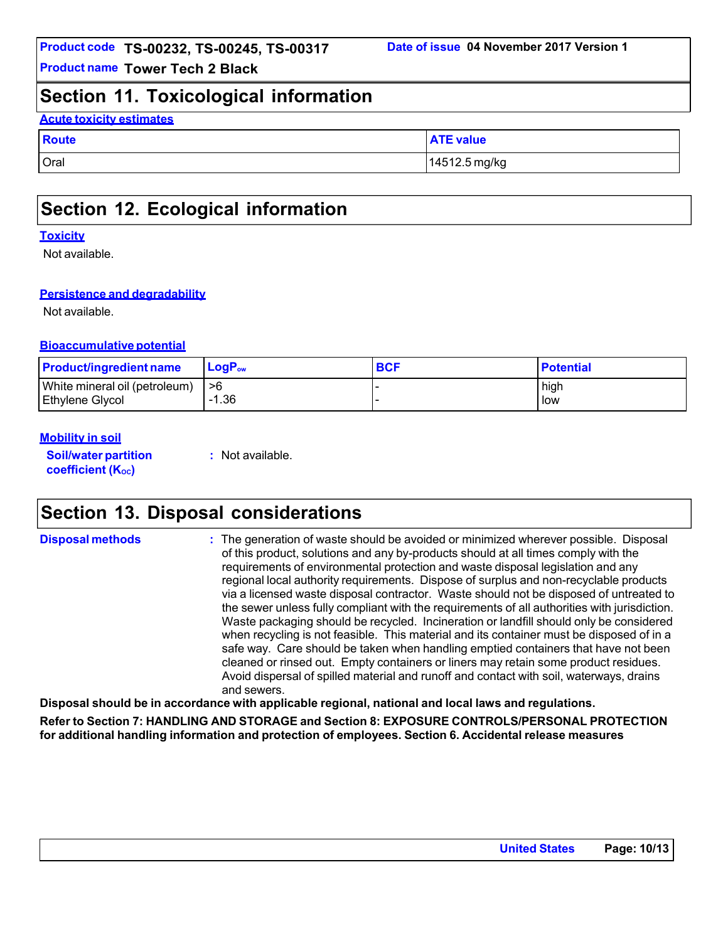### **Section 11. Toxicological information**

#### **Acute toxicity estimates**

| Route | <b>ATE value</b> |
|-------|------------------|
| Oral  | 14512.5 mg/kg    |

## **Section 12. Ecological information**

#### **Toxicity**

Not available.

#### **Persistence and degradability**

Not available.

#### **Bioaccumulative potential**

| <b>Product/ingredient name</b> | $\mathsf{LogP}_\mathsf{ow}$ | <b>BCF</b> | <b>Potential</b> |
|--------------------------------|-----------------------------|------------|------------------|
| White mineral oil (petroleum)  | ->6                         |            | high             |
| <b>Ethylene Glycol</b>         | -1.36                       |            | low              |

#### **Mobility in soil**

**Soil/water partition coefficient (Koc)** 

**:** Not available.

## **Section 13. Disposal considerations**

**Disposal methods :** The generation of waste should be avoided or minimized wherever possible. Disposal of this product, solutions and any by-products should at all times comply with the requirements of environmental protection and waste disposal legislation and any regional local authority requirements. Dispose of surplus and non-recyclable products via a licensed waste disposal contractor. Waste should not be disposed of untreated to the sewer unless fully compliant with the requirements of all authorities with jurisdiction. Waste packaging should be recycled. Incineration or landfill should only be considered when recycling is not feasible. This material and its container must be disposed of in a safe way. Care should be taken when handling emptied containers that have not been cleaned or rinsed out. Empty containers or liners may retain some product residues. Avoid dispersal of spilled material and runoff and contact with soil, waterways, drains and sewers.

**Disposal should be in accordance with applicable regional, national and local laws and regulations. Refer to Section 7: HANDLING AND STORAGE and Section 8: EXPOSURE CONTROLS/PERSONAL PROTECTION**

**for additional handling information and protection of employees. Section 6. Accidental release measures**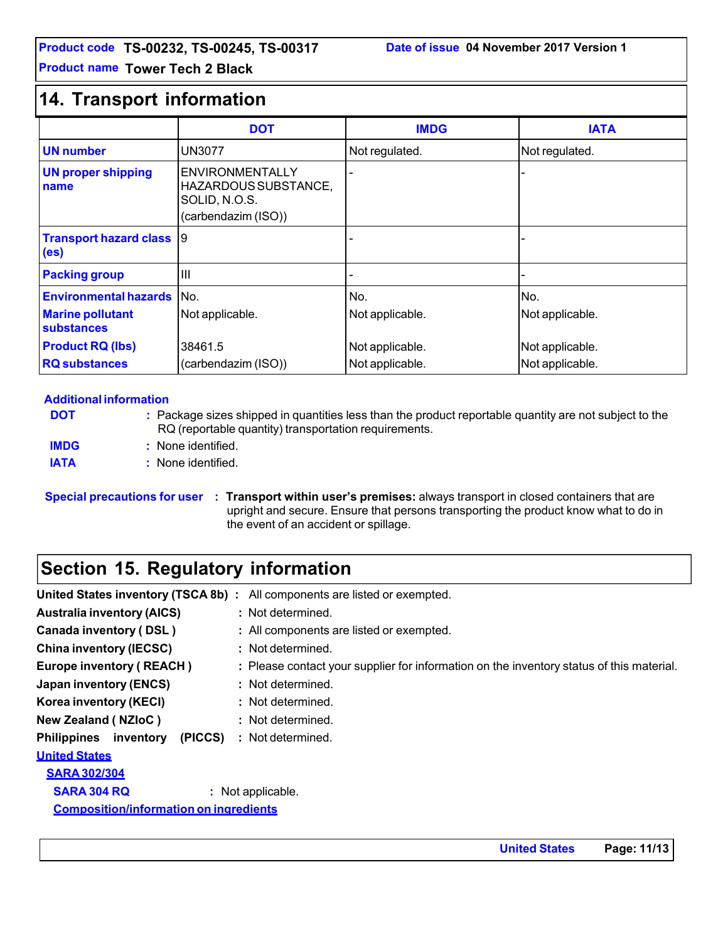## **14. Transport information**

|                                              | <b>DOT</b>                                                                             | <b>IMDG</b>     | <b>IATA</b>     |
|----------------------------------------------|----------------------------------------------------------------------------------------|-----------------|-----------------|
| <b>UN</b> number                             | <b>UN3077</b>                                                                          | Not regulated.  | Not regulated.  |
| <b>UN proper shipping</b><br>name            | <b>ENVIRONMENTALLY</b><br>HAZARDOUS SUBSTANCE,<br>SOLID, N.O.S.<br>(carbendazim (ISO)) |                 |                 |
| <b>Transport hazard class</b><br>(es)        | 19                                                                                     |                 |                 |
| <b>Packing group</b>                         | $\mathbf{III}$                                                                         |                 |                 |
| <b>Environmental hazards INo.</b>            |                                                                                        | No.             | No.             |
| <b>Marine pollutant</b><br><b>substances</b> | Not applicable.                                                                        | Not applicable. | Not applicable. |
| <b>Product RQ (lbs)</b>                      | 38461.5                                                                                | Not applicable. | Not applicable. |
| <b>RQ</b> substances                         | (carbendazim (ISO))                                                                    | Not applicable. | Not applicable. |

#### **Additional information**

**DOT IMDG :** Package sizes shipped in quantities less than the product reportable quantity are not subject to the RQ (reportable quantity) transportation requirements. **:** None identified. **IATA** : None identified.

**Special precautions for user : Transport within user's premises:** always transport in closed containers that are upright and secure. Ensure that persons transporting the product know what to do in the event of an accident or spillage.

# **Section 15. Regulatory information**

| United States inventory (TSCA 8b):            | All components are listed or exempted.                                                   |
|-----------------------------------------------|------------------------------------------------------------------------------------------|
| <b>Australia inventory (AICS)</b>             | : Not determined.                                                                        |
| Canada inventory (DSL)                        | : All components are listed or exempted.                                                 |
| <b>China inventory (IECSC)</b>                | : Not determined.                                                                        |
| <b>Europe inventory (REACH)</b>               | : Please contact your supplier for information on the inventory status of this material. |
| <b>Japan inventory (ENCS)</b>                 | : Not determined.                                                                        |
| Korea inventory (KECI)                        | : Not determined.                                                                        |
| <b>New Zealand (NZIoC)</b>                    | : Not determined.                                                                        |
| (PICCS)<br><b>Philippines</b> inventory       | : Not determined.                                                                        |
| <b>United States</b>                          |                                                                                          |
| <b>SARA 302/304</b>                           |                                                                                          |
| <b>SARA 304 RQ</b>                            | : Not applicable.                                                                        |
| <b>Composition/information on ingredients</b> |                                                                                          |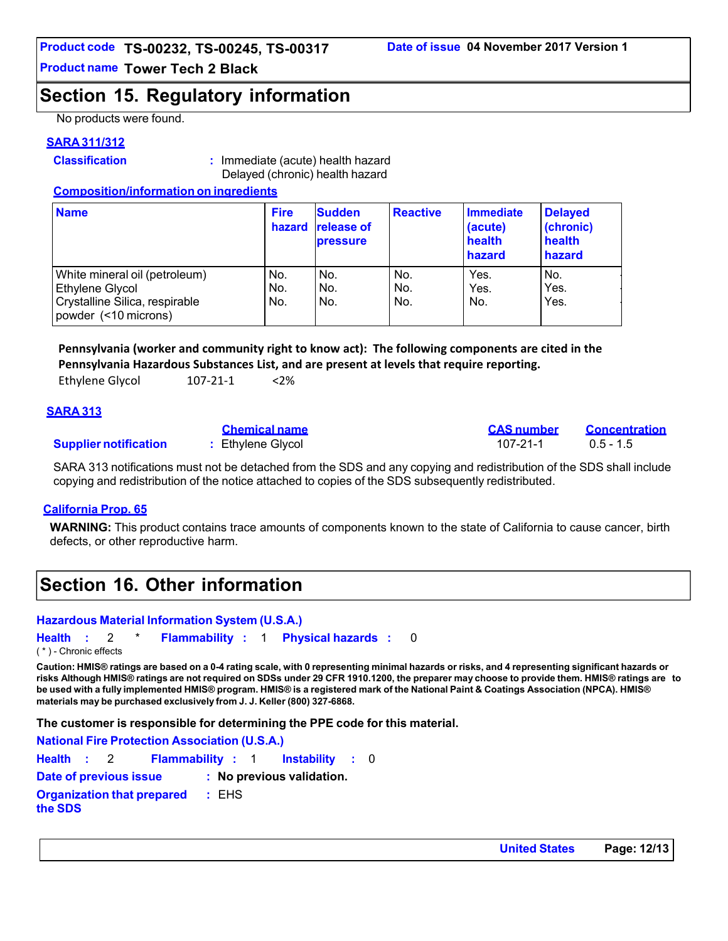## **Section 15. Regulatory information**

No products were found.

#### **SARA 311/312**

**Classification :** Immediate (acute) health hazard Delayed (chronic) health hazard

#### **Composition/information on ingredients**

| <b>Name</b>                                                                                                | <b>Fire</b><br>hazard | <b>Sudden</b><br><b>release of</b><br><b>pressure</b> | <b>Reactive</b>   | <b>Immediate</b><br>(acute)<br>health<br>hazard | <b>Delayed</b><br>(chronic)<br>health<br>hazard |
|------------------------------------------------------------------------------------------------------------|-----------------------|-------------------------------------------------------|-------------------|-------------------------------------------------|-------------------------------------------------|
| White mineral oil (petroleum)<br>Ethylene Glycol<br>Crystalline Silica, respirable<br>powder (<10 microns) | No.<br>No.<br>No.     | No.<br>No.<br>No.                                     | No.<br>No.<br>No. | Yes.<br>Yes.<br>No.                             | No.<br>Yes.<br>Yes.                             |

**Pennsylvania (worker and community right to know act): The following components are cited in the Pennsylvania Hazardous Substances List, and are present at levels that require reporting.** 

| Ethylene Glycol<br>107-21-1 | $<$ 2% |
|-----------------------------|--------|
|-----------------------------|--------|

#### **SARA 313**

|                              | <b>Chemical name</b> | <b>CAS number</b> | Concentration |
|------------------------------|----------------------|-------------------|---------------|
| <b>Supplier notification</b> | Ethylene Glycol      | 107-21-1          | $0.5 - 1.5$   |

SARA 313 notifications must not be detached from the SDS and any copying and redistribution of the SDS shall include copying and redistribution of the notice attached to copies of the SDS subsequently redistributed.

#### **California Prop. 65**

**WARNING:** This product contains trace amounts of components known to the state of California to cause cancer, birth defects, or other reproductive harm.

## **Section 16. Other information**

#### **Hazardous Material Information System (U.S.A.)**

**Health :** 2 \* **Flammability :** 1 **Physical hazards :** 0 ( \* ) - Chronic effects

**Caution: HMIS® ratings are based on a 0-4 rating scale, with 0 representing minimal hazards or risks, and 4 representing significant hazards or risks Although HMIS® ratings are not required on SDSs under 29 CFR 1910.1200, the preparer may choose to provide them. HMIS® ratings are to be used with a fully implemented HMIS® program. HMIS® is a registered mark of the National Paint & Coatings Association (NPCA). HMIS® materials may be purchased exclusively from J. J. Keller (800) 327-6868.**

**The customer is responsible for determining the PPE code for this material.**

**National Fire Protection Association (U.S.A.) Health :** 2 **Flammability :** 1 **Instability :** 0 **Date of previous issue : No previous validation. Organization that prepared the SDS :** EHS